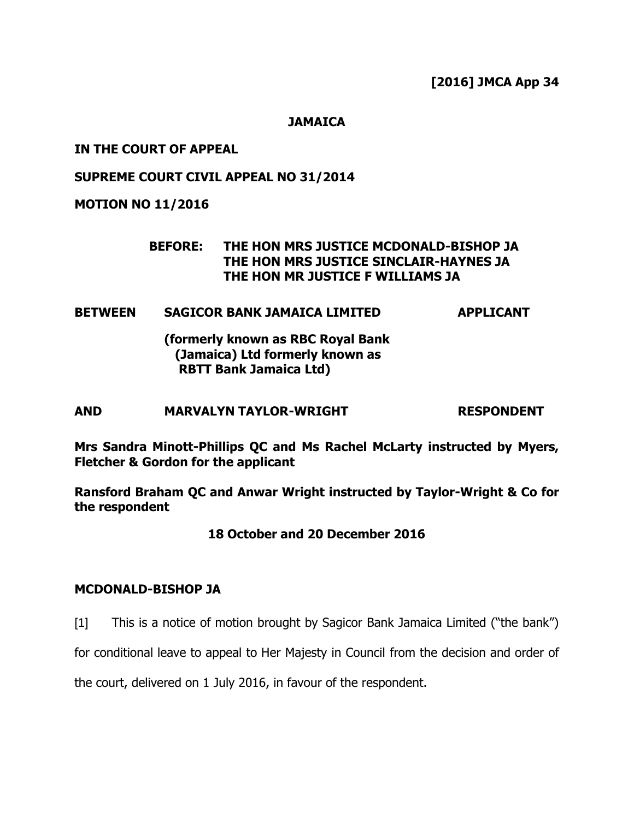**[2016] JMCA App 34**

**JAMAICA**

### **IN THE COURT OF APPEAL**

# **SUPREME COURT CIVIL APPEAL NO 31/2014**

# **MOTION NO 11/2016**

### **BEFORE: THE HON MRS JUSTICE MCDONALD-BISHOP JA THE HON MRS JUSTICE SINCLAIR-HAYNES JA THE HON MR JUSTICE F WILLIAMS JA**

# **BETWEEN SAGICOR BANK JAMAICA LIMITED APPLICANT**

**(formerly known as RBC Royal Bank (Jamaica) Ltd formerly known as RBTT Bank Jamaica Ltd)**

# **AND MARVALYN TAYLOR-WRIGHT RESPONDENT**

**Mrs Sandra Minott-Phillips QC and Ms Rachel McLarty instructed by Myers, Fletcher & Gordon for the applicant**

**Ransford Braham QC and Anwar Wright instructed by Taylor-Wright & Co for the respondent**

# **18 October and 20 December 2016**

### **MCDONALD-BISHOP JA**

[1] This is a notice of motion brought by Sagicor Bank Jamaica Limited ("the bank")

for conditional leave to appeal to Her Majesty in Council from the decision and order of

the court, delivered on 1 July 2016, in favour of the respondent.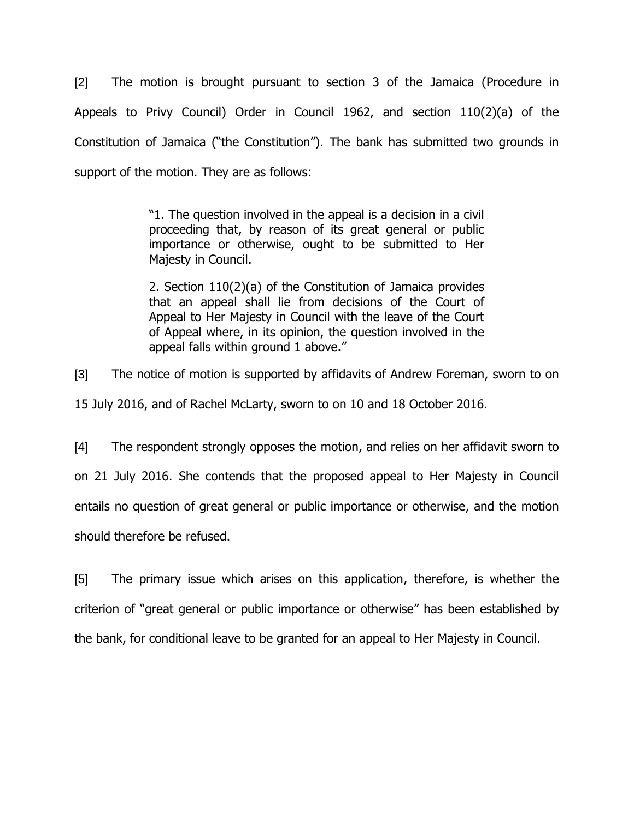[2] The motion is brought pursuant to section 3 of the Jamaica (Procedure in Appeals to Privy Council) Order in Council 1962, and section 110(2)(a) of the Constitution of Jamaica ("the Constitution"). The bank has submitted two grounds in support of the motion. They are as follows:

> "1. The question involved in the appeal is a decision in a civil proceeding that, by reason of its great general or public importance or otherwise, ought to be submitted to Her Majesty in Council.

> 2. Section 110(2)(a) of the Constitution of Jamaica provides that an appeal shall lie from decisions of the Court of Appeal to Her Majesty in Council with the leave of the Court of Appeal where, in its opinion, the question involved in the appeal falls within ground 1 above."

[3] The notice of motion is supported by affidavits of Andrew Foreman, sworn to on 15 July 2016, and of Rachel McLarty, sworn to on 10 and 18 October 2016.

[4] The respondent strongly opposes the motion, and relies on her affidavit sworn to on 21 July 2016. She contends that the proposed appeal to Her Majesty in Council entails no question of great general or public importance or otherwise, and the motion should therefore be refused.

[5] The primary issue which arises on this application, therefore, is whether the criterion of "great general or public importance or otherwise" has been established by the bank, for conditional leave to be granted for an appeal to Her Majesty in Council.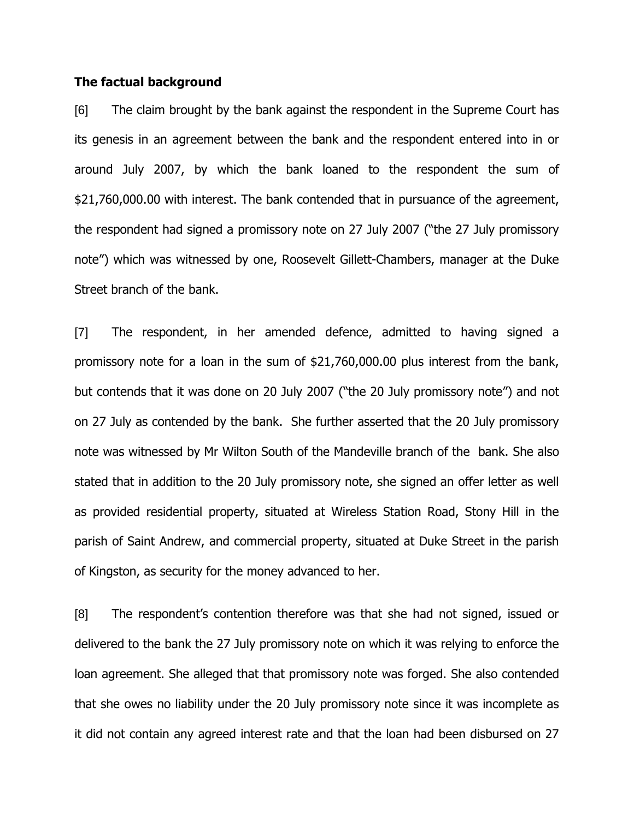#### **The factual background**

[6] The claim brought by the bank against the respondent in the Supreme Court has its genesis in an agreement between the bank and the respondent entered into in or around July 2007, by which the bank loaned to the respondent the sum of \$21,760,000.00 with interest. The bank contended that in pursuance of the agreement, the respondent had signed a promissory note on 27 July 2007 ("the 27 July promissory note") which was witnessed by one, Roosevelt Gillett-Chambers, manager at the Duke Street branch of the bank.

[7] The respondent, in her amended defence, admitted to having signed a promissory note for a loan in the sum of \$21,760,000.00 plus interest from the bank, but contends that it was done on 20 July 2007 ("the 20 July promissory note") and not on 27 July as contended by the bank. She further asserted that the 20 July promissory note was witnessed by Mr Wilton South of the Mandeville branch of the bank. She also stated that in addition to the 20 July promissory note, she signed an offer letter as well as provided residential property, situated at Wireless Station Road, Stony Hill in the parish of Saint Andrew, and commercial property, situated at Duke Street in the parish of Kingston, as security for the money advanced to her.

[8] The respondent's contention therefore was that she had not signed, issued or delivered to the bank the 27 July promissory note on which it was relying to enforce the loan agreement. She alleged that that promissory note was forged. She also contended that she owes no liability under the 20 July promissory note since it was incomplete as it did not contain any agreed interest rate and that the loan had been disbursed on 27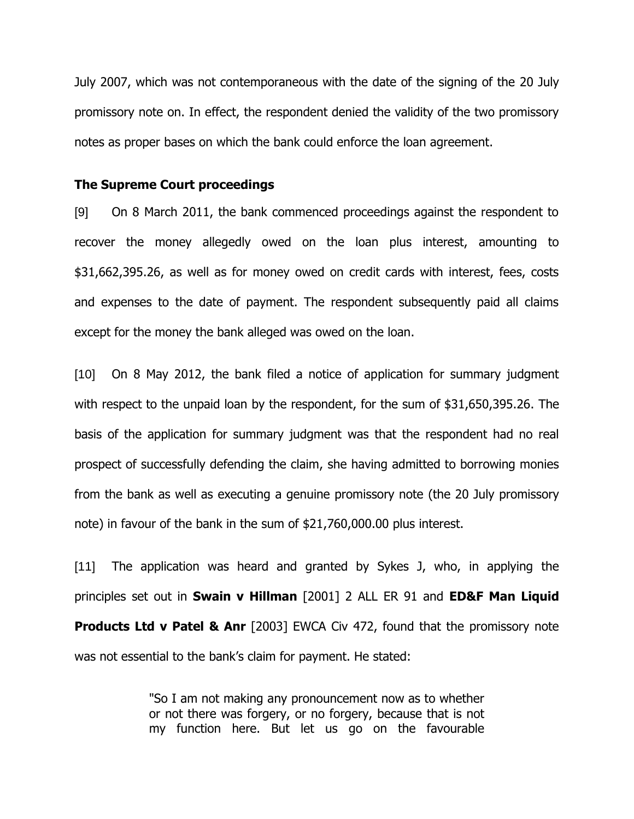July 2007, which was not contemporaneous with the date of the signing of the 20 July promissory note on. In effect, the respondent denied the validity of the two promissory notes as proper bases on which the bank could enforce the loan agreement.

#### **The Supreme Court proceedings**

[9] On 8 March 2011, the bank commenced proceedings against the respondent to recover the money allegedly owed on the loan plus interest, amounting to \$31,662,395.26, as well as for money owed on credit cards with interest, fees, costs and expenses to the date of payment. The respondent subsequently paid all claims except for the money the bank alleged was owed on the loan.

[10] On 8 May 2012, the bank filed a notice of application for summary judgment with respect to the unpaid loan by the respondent, for the sum of \$31,650,395.26. The basis of the application for summary judgment was that the respondent had no real prospect of successfully defending the claim, she having admitted to borrowing monies from the bank as well as executing a genuine promissory note (the 20 July promissory note) in favour of the bank in the sum of \$21,760,000.00 plus interest.

[11] The application was heard and granted by Sykes J, who, in applying the principles set out in **Swain v Hillman** [2001] 2 ALL ER 91 and **ED&F Man Liquid Products Ltd v Patel & Anr** [2003] EWCA Civ 472, found that the promissory note was not essential to the bank's claim for payment. He stated:

> "So I am not making any pronouncement now as to whether or not there was forgery, or no forgery, because that is not my function here. But let us go on the favourable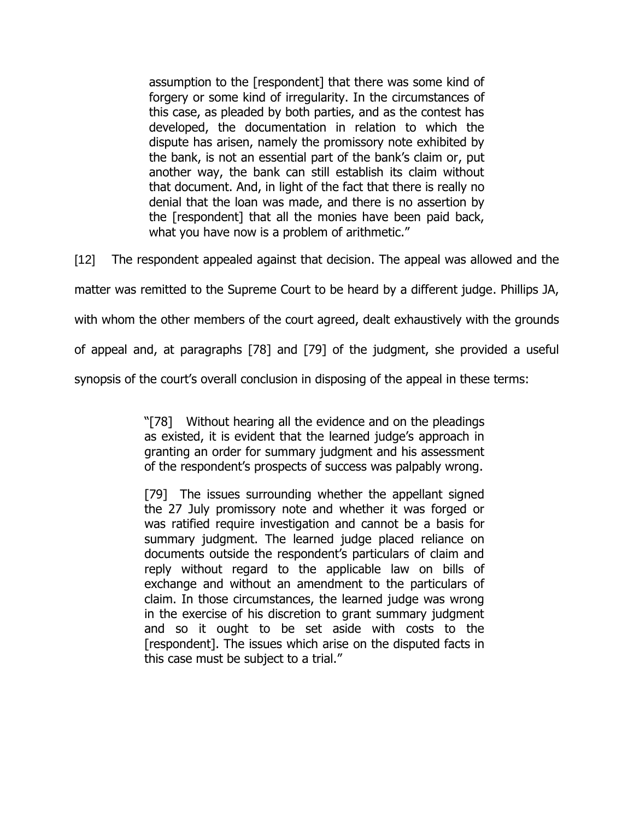assumption to the [respondent] that there was some kind of forgery or some kind of irregularity. In the circumstances of this case, as pleaded by both parties, and as the contest has developed, the documentation in relation to which the dispute has arisen, namely the promissory note exhibited by the bank, is not an essential part of the bank's claim or, put another way, the bank can still establish its claim without that document. And, in light of the fact that there is really no denial that the loan was made, and there is no assertion by the [respondent] that all the monies have been paid back, what you have now is a problem of arithmetic."

[12] The respondent appealed against that decision. The appeal was allowed and the

matter was remitted to the Supreme Court to be heard by a different judge. Phillips JA,

with whom the other members of the court agreed, dealt exhaustively with the grounds

of appeal and, at paragraphs [78] and [79] of the judgment, she provided a useful

synopsis of the court's overall conclusion in disposing of the appeal in these terms:

"[78] Without hearing all the evidence and on the pleadings as existed, it is evident that the learned judge's approach in granting an order for summary judgment and his assessment of the respondent"s prospects of success was palpably wrong.

[79] The issues surrounding whether the appellant signed the 27 July promissory note and whether it was forged or was ratified require investigation and cannot be a basis for summary judgment. The learned judge placed reliance on documents outside the respondent's particulars of claim and reply without regard to the applicable law on bills of exchange and without an amendment to the particulars of claim. In those circumstances, the learned judge was wrong in the exercise of his discretion to grant summary judgment and so it ought to be set aside with costs to the [respondent]. The issues which arise on the disputed facts in this case must be subject to a trial."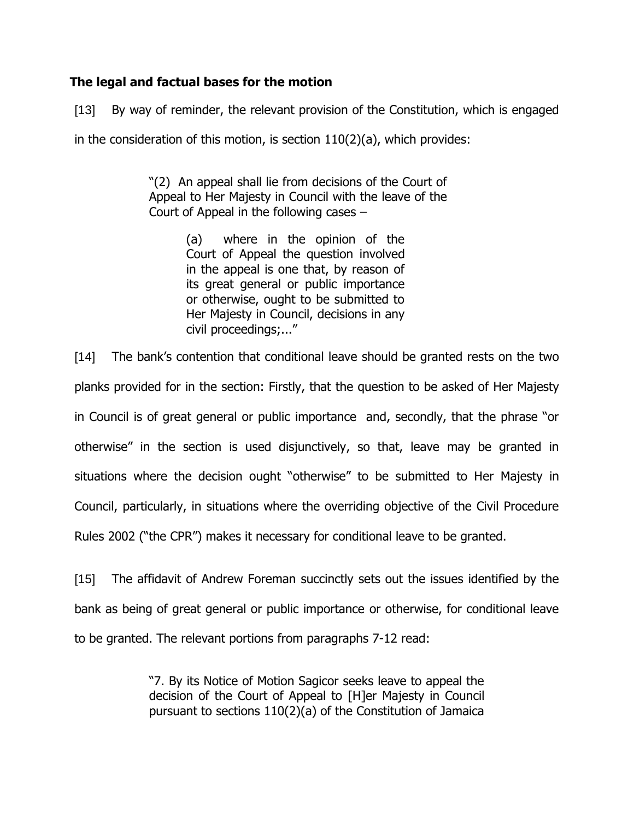# **The legal and factual bases for the motion**

[13] By way of reminder, the relevant provision of the Constitution, which is engaged

in the consideration of this motion, is section  $110(2)(a)$ , which provides:

"(2) An appeal shall lie from decisions of the Court of Appeal to Her Majesty in Council with the leave of the Court of Appeal in the following cases –

> (a) where in the opinion of the Court of Appeal the question involved in the appeal is one that, by reason of its great general or public importance or otherwise, ought to be submitted to Her Majesty in Council, decisions in any civil proceedings;..."

[14] The bank"s contention that conditional leave should be granted rests on the two planks provided for in the section: Firstly, that the question to be asked of Her Majesty in Council is of great general or public importance and, secondly, that the phrase "or otherwise" in the section is used disjunctively, so that, leave may be granted in situations where the decision ought "otherwise" to be submitted to Her Majesty in Council, particularly, in situations where the overriding objective of the Civil Procedure Rules 2002 ("the CPR") makes it necessary for conditional leave to be granted.

[15] The affidavit of Andrew Foreman succinctly sets out the issues identified by the bank as being of great general or public importance or otherwise, for conditional leave to be granted. The relevant portions from paragraphs 7-12 read:

> "7. By its Notice of Motion Sagicor seeks leave to appeal the decision of the Court of Appeal to [H]er Majesty in Council pursuant to sections 110(2)(a) of the Constitution of Jamaica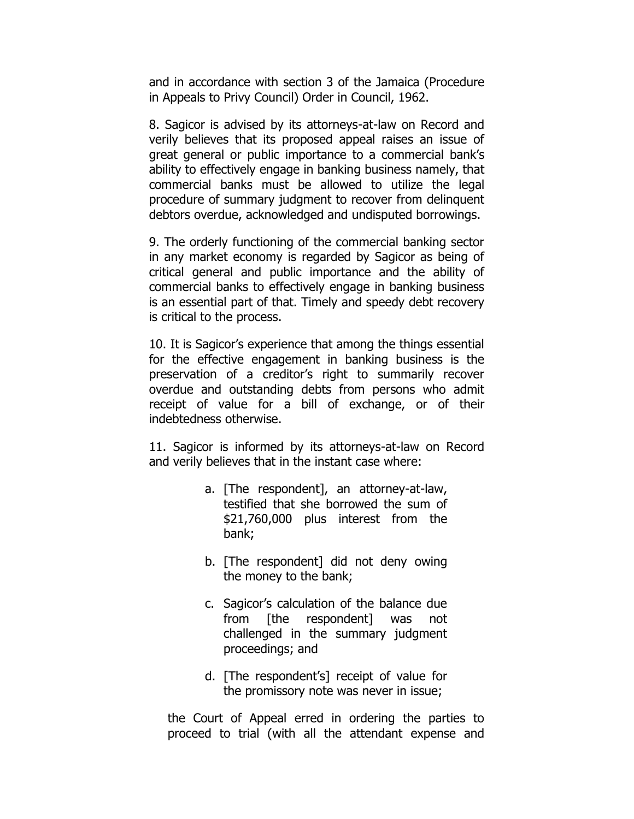and in accordance with section 3 of the Jamaica (Procedure in Appeals to Privy Council) Order in Council, 1962.

8. Sagicor is advised by its attorneys-at-law on Record and verily believes that its proposed appeal raises an issue of great general or public importance to a commercial bank"s ability to effectively engage in banking business namely, that commercial banks must be allowed to utilize the legal procedure of summary judgment to recover from delinquent debtors overdue, acknowledged and undisputed borrowings.

9. The orderly functioning of the commercial banking sector in any market economy is regarded by Sagicor as being of critical general and public importance and the ability of commercial banks to effectively engage in banking business is an essential part of that. Timely and speedy debt recovery is critical to the process.

10. It is Sagicor"s experience that among the things essential for the effective engagement in banking business is the preservation of a creditor's right to summarily recover overdue and outstanding debts from persons who admit receipt of value for a bill of exchange, or of their indebtedness otherwise.

11. Sagicor is informed by its attorneys-at-law on Record and verily believes that in the instant case where:

- a. [The respondent], an attorney-at-law, testified that she borrowed the sum of \$21,760,000 plus interest from the bank;
- b. [The respondent] did not deny owing the money to the bank;
- c. Sagicor"s calculation of the balance due from [the respondent] was not challenged in the summary judgment proceedings; and
- d. [The respondent"s] receipt of value for the promissory note was never in issue;

the Court of Appeal erred in ordering the parties to proceed to trial (with all the attendant expense and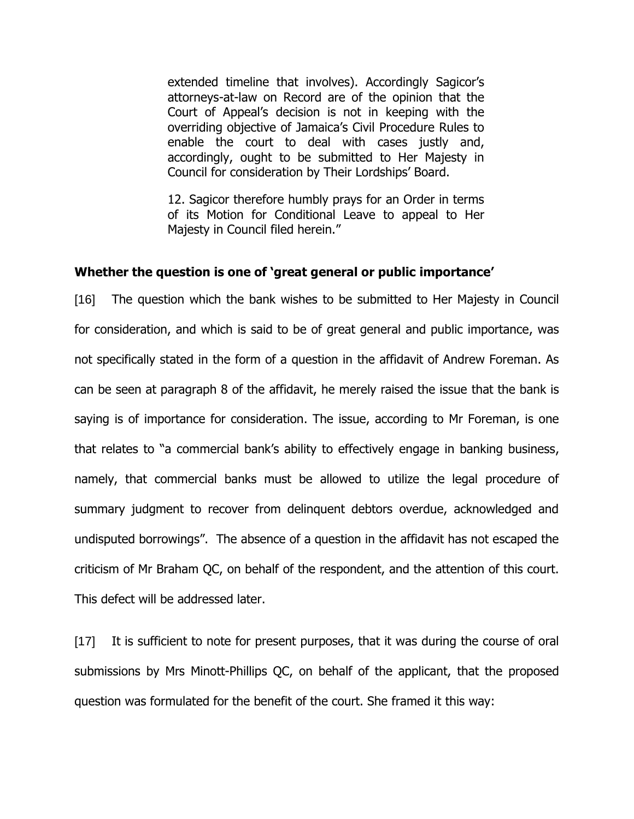extended timeline that involves). Accordingly Sagicor's attorneys-at-law on Record are of the opinion that the Court of Appeal"s decision is not in keeping with the overriding objective of Jamaica"s Civil Procedure Rules to enable the court to deal with cases justly and, accordingly, ought to be submitted to Her Majesty in Council for consideration by Their Lordships" Board.

12. Sagicor therefore humbly prays for an Order in terms of its Motion for Conditional Leave to appeal to Her Majesty in Council filed herein."

### **Whether the question is one of 'great general or public importance'**

[16] The question which the bank wishes to be submitted to Her Majesty in Council for consideration, and which is said to be of great general and public importance, was not specifically stated in the form of a question in the affidavit of Andrew Foreman. As can be seen at paragraph 8 of the affidavit, he merely raised the issue that the bank is saying is of importance for consideration. The issue, according to Mr Foreman, is one that relates to "a commercial bank"s ability to effectively engage in banking business, namely, that commercial banks must be allowed to utilize the legal procedure of summary judgment to recover from delinquent debtors overdue, acknowledged and undisputed borrowings". The absence of a question in the affidavit has not escaped the criticism of Mr Braham QC, on behalf of the respondent, and the attention of this court. This defect will be addressed later.

[17] It is sufficient to note for present purposes, that it was during the course of oral submissions by Mrs Minott-Phillips QC, on behalf of the applicant, that the proposed question was formulated for the benefit of the court. She framed it this way: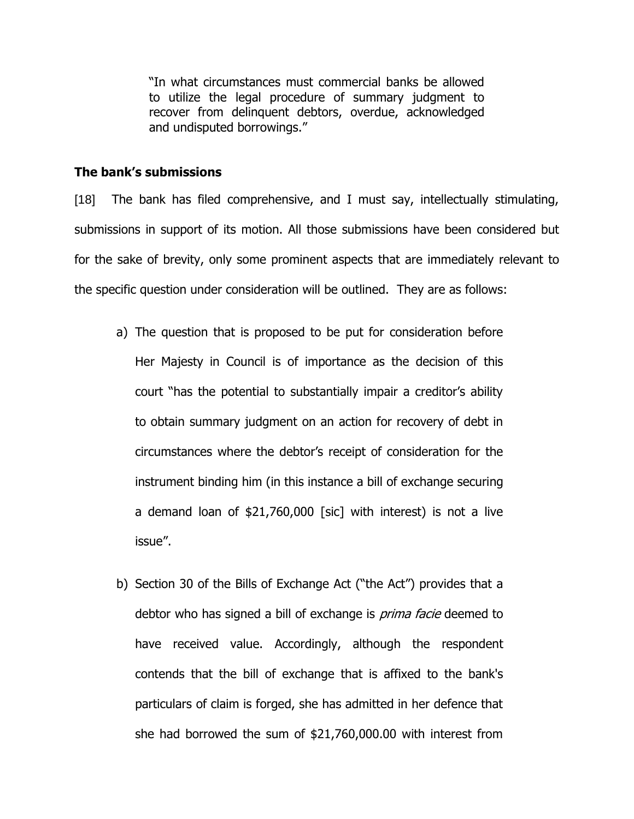"In what circumstances must commercial banks be allowed to utilize the legal procedure of summary judgment to recover from delinquent debtors, overdue, acknowledged and undisputed borrowings."

#### **The bank's submissions**

[18] The bank has filed comprehensive, and I must say, intellectually stimulating, submissions in support of its motion. All those submissions have been considered but for the sake of brevity, only some prominent aspects that are immediately relevant to the specific question under consideration will be outlined. They are as follows:

- a) The question that is proposed to be put for consideration before Her Majesty in Council is of importance as the decision of this court "has the potential to substantially impair a creditor's ability to obtain summary judgment on an action for recovery of debt in circumstances where the debtor"s receipt of consideration for the instrument binding him (in this instance a bill of exchange securing a demand loan of \$21,760,000 [sic] with interest) is not a live issue".
- b) Section 30 of the Bills of Exchange Act ("the Act") provides that a debtor who has signed a bill of exchange is *prima facie* deemed to have received value. Accordingly, although the respondent contends that the bill of exchange that is affixed to the bank's particulars of claim is forged, she has admitted in her defence that she had borrowed the sum of \$21,760,000.00 with interest from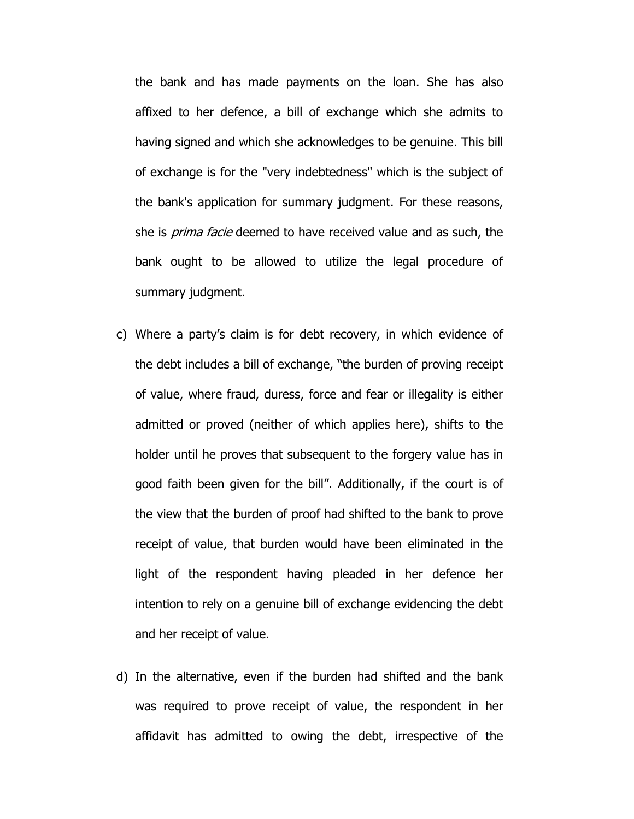the bank and has made payments on the loan. She has also affixed to her defence, a bill of exchange which she admits to having signed and which she acknowledges to be genuine. This bill of exchange is for the "very indebtedness" which is the subject of the bank's application for summary judgment. For these reasons, she is *prima facie* deemed to have received value and as such, the bank ought to be allowed to utilize the legal procedure of summary judgment.

- c) Where a party"s claim is for debt recovery, in which evidence of the debt includes a bill of exchange, "the burden of proving receipt of value, where fraud, duress, force and fear or illegality is either admitted or proved (neither of which applies here), shifts to the holder until he proves that subsequent to the forgery value has in good faith been given for the bill". Additionally, if the court is of the view that the burden of proof had shifted to the bank to prove receipt of value, that burden would have been eliminated in the light of the respondent having pleaded in her defence her intention to rely on a genuine bill of exchange evidencing the debt and her receipt of value.
- d) In the alternative, even if the burden had shifted and the bank was required to prove receipt of value, the respondent in her affidavit has admitted to owing the debt, irrespective of the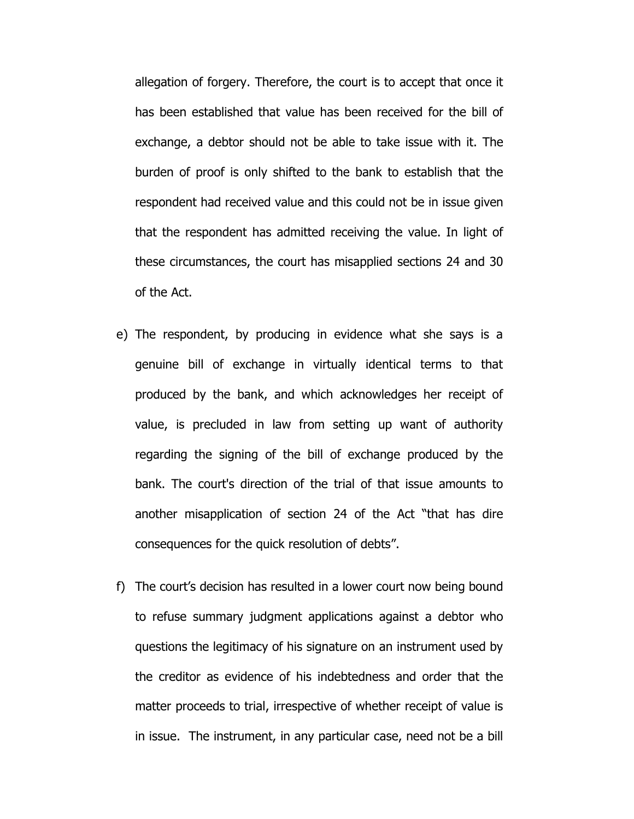allegation of forgery. Therefore, the court is to accept that once it has been established that value has been received for the bill of exchange, a debtor should not be able to take issue with it. The burden of proof is only shifted to the bank to establish that the respondent had received value and this could not be in issue given that the respondent has admitted receiving the value. In light of these circumstances, the court has misapplied sections 24 and 30 of the Act.

- e) The respondent, by producing in evidence what she says is a genuine bill of exchange in virtually identical terms to that produced by the bank, and which acknowledges her receipt of value, is precluded in law from setting up want of authority regarding the signing of the bill of exchange produced by the bank. The court's direction of the trial of that issue amounts to another misapplication of section 24 of the Act "that has dire consequences for the quick resolution of debts".
- f) The court's decision has resulted in a lower court now being bound to refuse summary judgment applications against a debtor who questions the legitimacy of his signature on an instrument used by the creditor as evidence of his indebtedness and order that the matter proceeds to trial, irrespective of whether receipt of value is in issue. The instrument, in any particular case, need not be a bill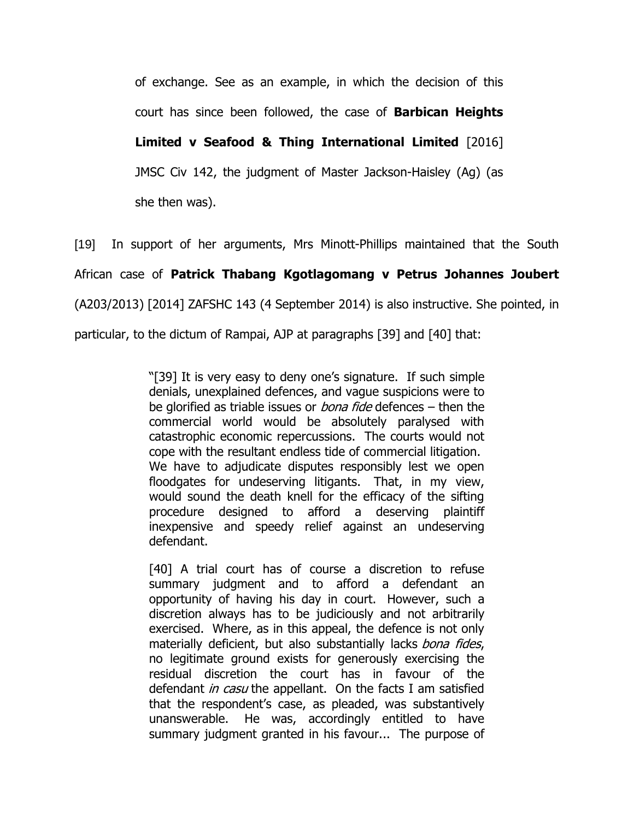of exchange. See as an example, in which the decision of this court has since been followed, the case of **Barbican Heights** 

**Limited v Seafood & Thing International Limited** [2016]

JMSC Civ 142, the judgment of Master Jackson-Haisley (Ag) (as

she then was).

[19] In support of her arguments, Mrs Minott-Phillips maintained that the South

African case of **Patrick Thabang Kgotlagomang v Petrus Johannes Joubert** 

(A203/2013) [2014] ZAFSHC 143 (4 September 2014) is also instructive. She pointed, in

particular, to the dictum of Rampai, AJP at paragraphs [39] and [40] that:

"[39] It is very easy to deny one"s signature. If such simple denials, unexplained defences, and vague suspicions were to be glorified as triable issues or *bona fide* defences – then the commercial world would be absolutely paralysed with catastrophic economic repercussions. The courts would not cope with the resultant endless tide of commercial litigation. We have to adjudicate disputes responsibly lest we open floodgates for undeserving litigants. That, in my view, would sound the death knell for the efficacy of the sifting procedure designed to afford a deserving plaintiff inexpensive and speedy relief against an undeserving defendant.

[40] A trial court has of course a discretion to refuse summary judgment and to afford a defendant an opportunity of having his day in court. However, such a discretion always has to be judiciously and not arbitrarily exercised. Where, as in this appeal, the defence is not only materially deficient, but also substantially lacks bona fides, no legitimate ground exists for generously exercising the residual discretion the court has in favour of the defendant in casu the appellant. On the facts I am satisfied that the respondent"s case, as pleaded, was substantively unanswerable. He was, accordingly entitled to have summary judgment granted in his favour... The purpose of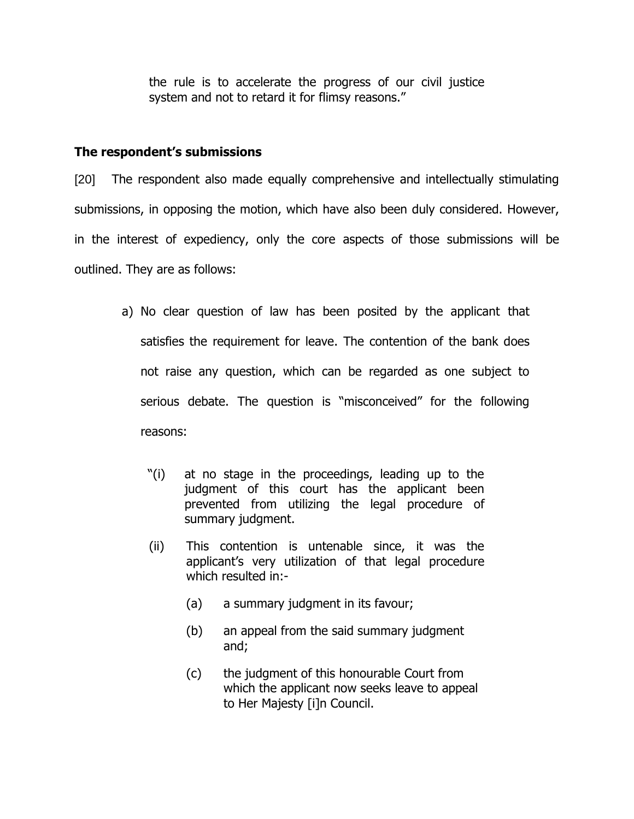the rule is to accelerate the progress of our civil justice system and not to retard it for flimsy reasons."

### **The respondent's submissions**

[20] The respondent also made equally comprehensive and intellectually stimulating submissions, in opposing the motion, which have also been duly considered. However, in the interest of expediency, only the core aspects of those submissions will be outlined. They are as follows:

- a) No clear question of law has been posited by the applicant that satisfies the requirement for leave. The contention of the bank does not raise any question, which can be regarded as one subject to serious debate. The question is "misconceived" for the following reasons:
	- "(i) at no stage in the proceedings, leading up to the judgment of this court has the applicant been prevented from utilizing the legal procedure of summary judgment.
	- (ii) This contention is untenable since, it was the applicant"s very utilization of that legal procedure which resulted in:-
		- (a) a summary judgment in its favour;
		- (b) an appeal from the said summary judgment and;
		- (c) the judgment of this honourable Court from which the applicant now seeks leave to appeal to Her Majesty [i]n Council.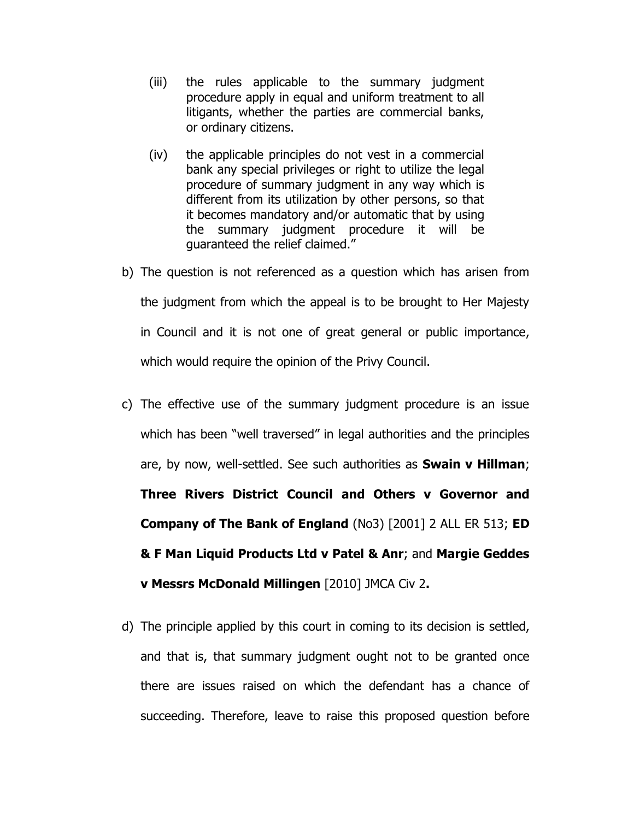- (iii) the rules applicable to the summary judgment procedure apply in equal and uniform treatment to all litigants, whether the parties are commercial banks, or ordinary citizens.
- (iv) the applicable principles do not vest in a commercial bank any special privileges or right to utilize the legal procedure of summary judgment in any way which is different from its utilization by other persons, so that it becomes mandatory and/or automatic that by using the summary judgment procedure it will be guaranteed the relief claimed."
- b) The question is not referenced as a question which has arisen from the judgment from which the appeal is to be brought to Her Majesty in Council and it is not one of great general or public importance, which would require the opinion of the Privy Council.
- c) The effective use of the summary judgment procedure is an issue which has been "well traversed" in legal authorities and the principles are, by now, well-settled. See such authorities as **Swain v Hillman**; **Three Rivers District Council and Others v Governor and Company of The Bank of England** (No3) [2001] 2 ALL ER 513; **ED & F Man Liquid Products Ltd v Patel & Anr**; and **Margie Geddes v Messrs McDonald Millingen** [2010] JMCA Civ 2**.**
- d) The principle applied by this court in coming to its decision is settled, and that is, that summary judgment ought not to be granted once there are issues raised on which the defendant has a chance of succeeding. Therefore, leave to raise this proposed question before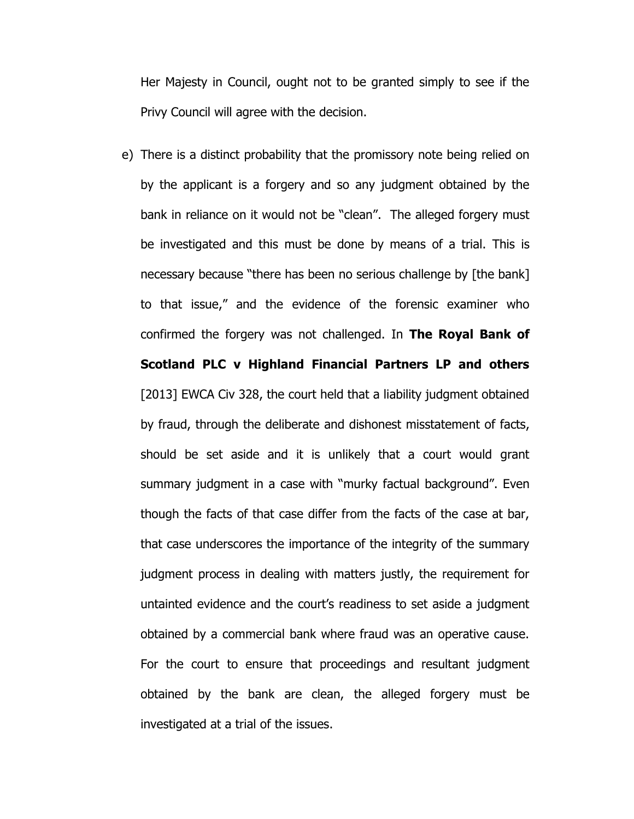Her Majesty in Council, ought not to be granted simply to see if the Privy Council will agree with the decision.

e) There is a distinct probability that the promissory note being relied on by the applicant is a forgery and so any judgment obtained by the bank in reliance on it would not be "clean". The alleged forgery must be investigated and this must be done by means of a trial. This is necessary because "there has been no serious challenge by [the bank] to that issue," and the evidence of the forensic examiner who confirmed the forgery was not challenged. In **The Royal Bank of Scotland PLC v Highland Financial Partners LP and others** [2013] EWCA Civ 328, the court held that a liability judgment obtained by fraud, through the deliberate and dishonest misstatement of facts, should be set aside and it is unlikely that a court would grant summary judgment in a case with "murky factual background". Even though the facts of that case differ from the facts of the case at bar, that case underscores the importance of the integrity of the summary judgment process in dealing with matters justly, the requirement for untainted evidence and the court"s readiness to set aside a judgment obtained by a commercial bank where fraud was an operative cause. For the court to ensure that proceedings and resultant judgment obtained by the bank are clean, the alleged forgery must be investigated at a trial of the issues.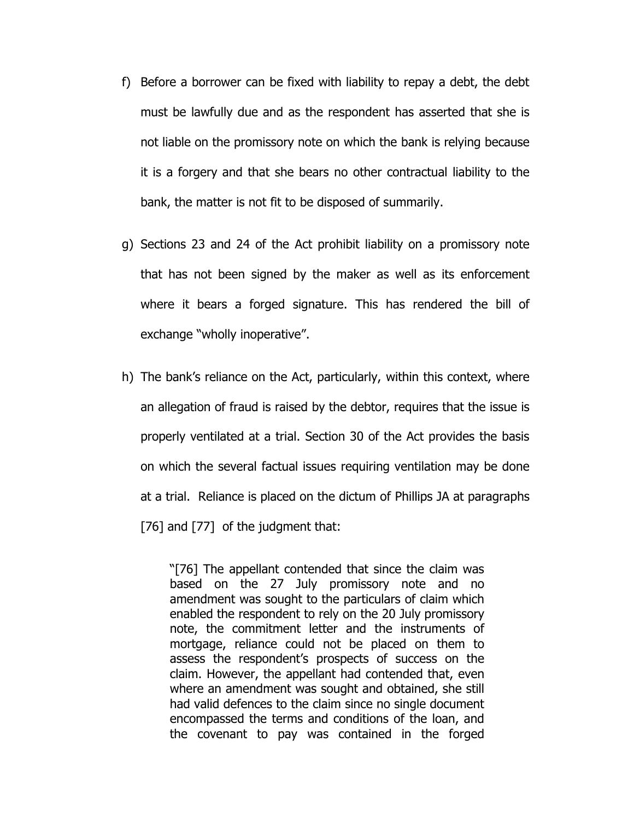- f) Before a borrower can be fixed with liability to repay a debt, the debt must be lawfully due and as the respondent has asserted that she is not liable on the promissory note on which the bank is relying because it is a forgery and that she bears no other contractual liability to the bank, the matter is not fit to be disposed of summarily.
- g) Sections 23 and 24 of the Act prohibit liability on a promissory note that has not been signed by the maker as well as its enforcement where it bears a forged signature. This has rendered the bill of exchange "wholly inoperative".
- h) The bank"s reliance on the Act, particularly, within this context, where an allegation of fraud is raised by the debtor, requires that the issue is properly ventilated at a trial. Section 30 of the Act provides the basis on which the several factual issues requiring ventilation may be done at a trial. Reliance is placed on the dictum of Phillips JA at paragraphs [76] and [77] of the judgment that:

"[76] The appellant contended that since the claim was based on the 27 July promissory note and no amendment was sought to the particulars of claim which enabled the respondent to rely on the 20 July promissory note, the commitment letter and the instruments of mortgage, reliance could not be placed on them to assess the respondent"s prospects of success on the claim. However, the appellant had contended that, even where an amendment was sought and obtained, she still had valid defences to the claim since no single document encompassed the terms and conditions of the loan, and the covenant to pay was contained in the forged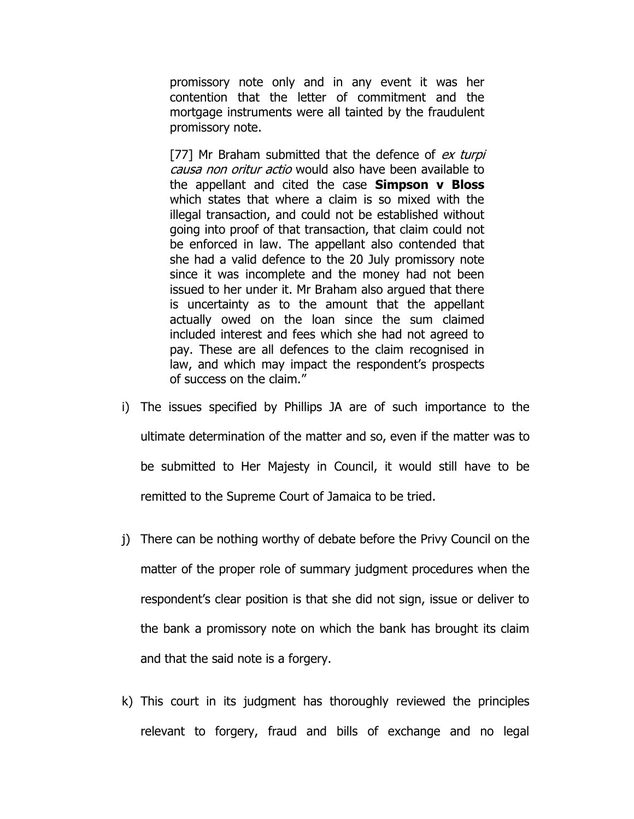promissory note only and in any event it was her contention that the letter of commitment and the mortgage instruments were all tainted by the fraudulent promissory note.

[77] Mr Braham submitted that the defence of ex turpi causa non oritur actio would also have been available to the appellant and cited the case **Simpson v Bloss** which states that where a claim is so mixed with the illegal transaction, and could not be established without going into proof of that transaction, that claim could not be enforced in law. The appellant also contended that she had a valid defence to the 20 July promissory note since it was incomplete and the money had not been issued to her under it. Mr Braham also argued that there is uncertainty as to the amount that the appellant actually owed on the loan since the sum claimed included interest and fees which she had not agreed to pay. These are all defences to the claim recognised in law, and which may impact the respondent's prospects of success on the claim."

- i) The issues specified by Phillips JA are of such importance to the ultimate determination of the matter and so, even if the matter was to be submitted to Her Majesty in Council, it would still have to be remitted to the Supreme Court of Jamaica to be tried.
- j) There can be nothing worthy of debate before the Privy Council on the matter of the proper role of summary judgment procedures when the respondent"s clear position is that she did not sign, issue or deliver to the bank a promissory note on which the bank has brought its claim and that the said note is a forgery.
- k) This court in its judgment has thoroughly reviewed the principles relevant to forgery, fraud and bills of exchange and no legal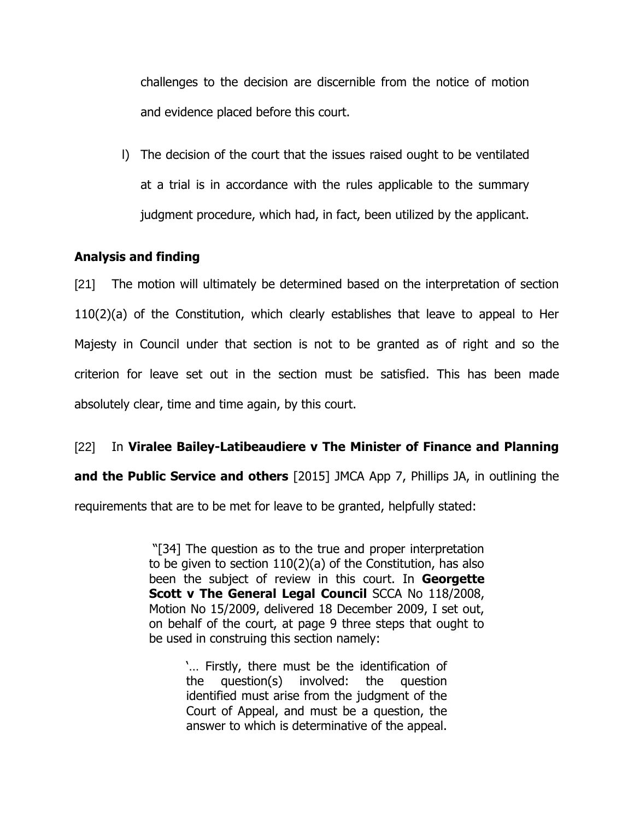challenges to the decision are discernible from the notice of motion and evidence placed before this court.

l) The decision of the court that the issues raised ought to be ventilated at a trial is in accordance with the rules applicable to the summary judgment procedure, which had, in fact, been utilized by the applicant.

# **Analysis and finding**

[21] The motion will ultimately be determined based on the interpretation of section 110(2)(a) of the Constitution, which clearly establishes that leave to appeal to Her Majesty in Council under that section is not to be granted as of right and so the criterion for leave set out in the section must be satisfied. This has been made absolutely clear, time and time again, by this court.

# [22] In **Viralee Bailey-Latibeaudiere v The Minister of Finance and Planning**

**and the Public Service and others** [2015] JMCA App 7, Phillips JA, in outlining the

requirements that are to be met for leave to be granted, helpfully stated:

"[34] The question as to the true and proper interpretation to be given to section 110(2)(a) of the Constitution, has also been the subject of review in this court. In **Georgette Scott v The General Legal Council SCCA No 118/2008,** Motion No 15/2009, delivered 18 December 2009, I set out, on behalf of the court, at page 9 three steps that ought to be used in construing this section namely:

> "... Firstly, there must be the identification of the question(s) involved: the question identified must arise from the judgment of the Court of Appeal, and must be a question, the answer to which is determinative of the appeal.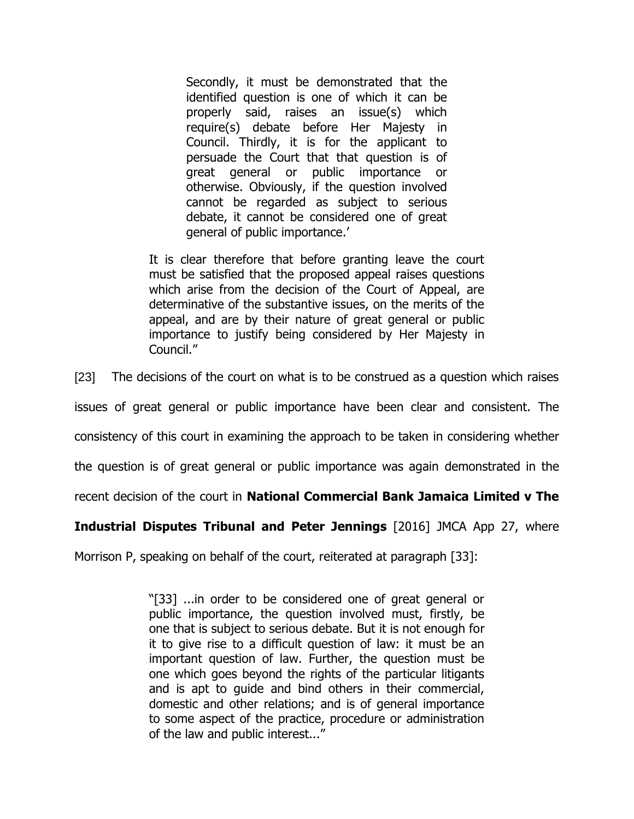Secondly, it must be demonstrated that the identified question is one of which it can be properly said, raises an issue(s) which require(s) debate before Her Majesty in Council. Thirdly, it is for the applicant to persuade the Court that that question is of great general or public importance or otherwise. Obviously, if the question involved cannot be regarded as subject to serious debate, it cannot be considered one of great general of public importance.'

It is clear therefore that before granting leave the court must be satisfied that the proposed appeal raises questions which arise from the decision of the Court of Appeal, are determinative of the substantive issues, on the merits of the appeal, and are by their nature of great general or public importance to justify being considered by Her Majesty in Council."

[23] The decisions of the court on what is to be construed as a question which raises

issues of great general or public importance have been clear and consistent. The

consistency of this court in examining the approach to be taken in considering whether

the question is of great general or public importance was again demonstrated in the

recent decision of the court in **National Commercial Bank Jamaica Limited v The** 

#### **Industrial Disputes Tribunal and Peter Jennings** [2016] JMCA App 27, where

Morrison P, speaking on behalf of the court, reiterated at paragraph [33]:

"[33] ...in order to be considered one of great general or public importance, the question involved must, firstly, be one that is subject to serious debate. But it is not enough for it to give rise to a difficult question of law: it must be an important question of law. Further, the question must be one which goes beyond the rights of the particular litigants and is apt to guide and bind others in their commercial, domestic and other relations; and is of general importance to some aspect of the practice, procedure or administration of the law and public interest..."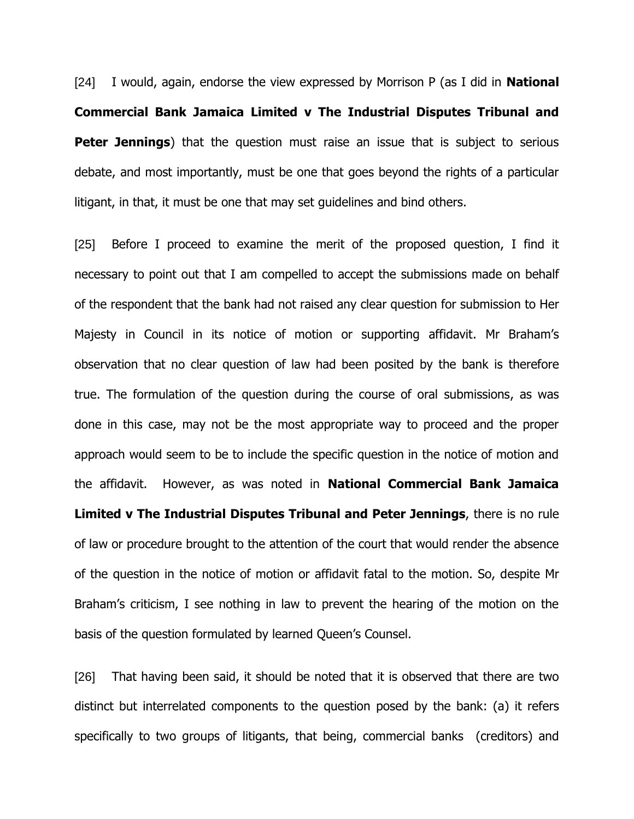[24] I would, again, endorse the view expressed by Morrison P (as I did in **National Commercial Bank Jamaica Limited v The Industrial Disputes Tribunal and Peter Jennings**) that the question must raise an issue that is subject to serious debate, and most importantly, must be one that goes beyond the rights of a particular litigant, in that, it must be one that may set guidelines and bind others.

[25] Before I proceed to examine the merit of the proposed question, I find it necessary to point out that I am compelled to accept the submissions made on behalf of the respondent that the bank had not raised any clear question for submission to Her Majesty in Council in its notice of motion or supporting affidavit. Mr Braham"s observation that no clear question of law had been posited by the bank is therefore true. The formulation of the question during the course of oral submissions, as was done in this case, may not be the most appropriate way to proceed and the proper approach would seem to be to include the specific question in the notice of motion and the affidavit. However, as was noted in **National Commercial Bank Jamaica Limited v The Industrial Disputes Tribunal and Peter Jennings**, there is no rule of law or procedure brought to the attention of the court that would render the absence of the question in the notice of motion or affidavit fatal to the motion. So, despite Mr Braham"s criticism, I see nothing in law to prevent the hearing of the motion on the basis of the question formulated by learned Queen"s Counsel.

[26] That having been said, it should be noted that it is observed that there are two distinct but interrelated components to the question posed by the bank: (a) it refers specifically to two groups of litigants, that being, commercial banks (creditors) and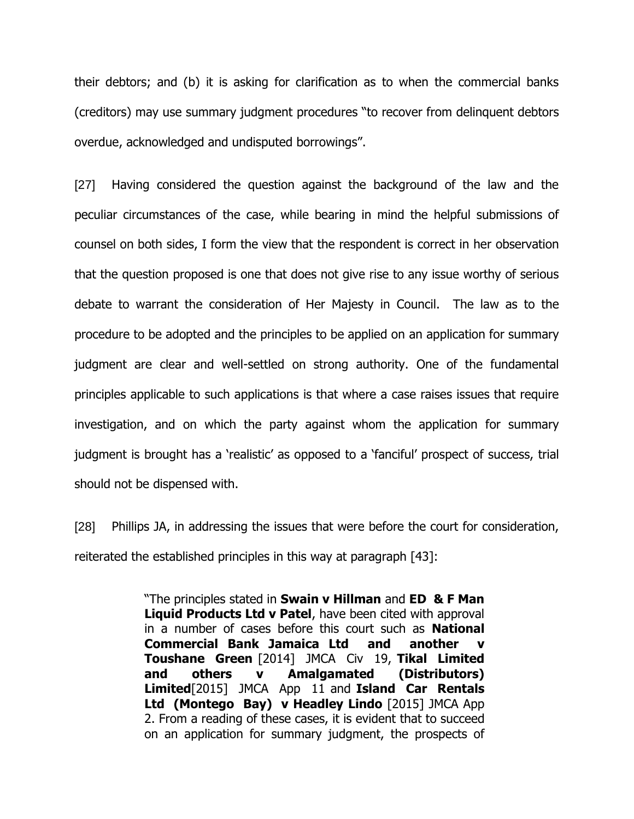their debtors; and (b) it is asking for clarification as to when the commercial banks (creditors) may use summary judgment procedures "to recover from delinquent debtors overdue, acknowledged and undisputed borrowings".

[27] Having considered the question against the background of the law and the peculiar circumstances of the case, while bearing in mind the helpful submissions of counsel on both sides, I form the view that the respondent is correct in her observation that the question proposed is one that does not give rise to any issue worthy of serious debate to warrant the consideration of Her Majesty in Council. The law as to the procedure to be adopted and the principles to be applied on an application for summary judgment are clear and well-settled on strong authority. One of the fundamental principles applicable to such applications is that where a case raises issues that require investigation, and on which the party against whom the application for summary judgment is brought has a 'realistic' as opposed to a 'fanciful' prospect of success, trial should not be dispensed with.

[28] Phillips JA, in addressing the issues that were before the court for consideration, reiterated the established principles in this way at paragraph [43]:

> "The principles stated in **Swain v Hillman** and **ED & F Man Liquid Products Ltd v Patel**, have been cited with approval in a number of cases before this court such as **National Commercial Bank Jamaica Ltd and another v Toushane Green** [2014] JMCA Civ 19, **Tikal Limited and others v Amalgamated (Distributors) Limited**[2015] JMCA App 11 and **Island Car Rentals Ltd (Montego Bay) v Headley Lindo** [2015] JMCA App 2. From a reading of these cases, it is evident that to succeed on an application for summary judgment, the prospects of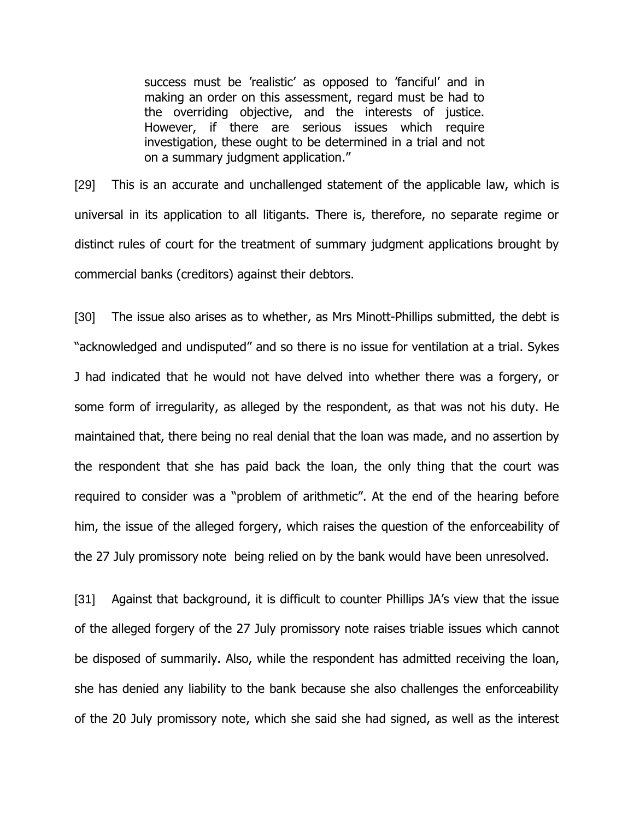success must be 'realistic' as opposed to 'fanciful' and in making an order on this assessment, regard must be had to the overriding objective, and the interests of justice. However, if there are serious issues which require investigation, these ought to be determined in a trial and not on a summary judgment application."

[29] This is an accurate and unchallenged statement of the applicable law, which is universal in its application to all litigants. There is, therefore, no separate regime or distinct rules of court for the treatment of summary judgment applications brought by commercial banks (creditors) against their debtors.

[30] The issue also arises as to whether, as Mrs Minott-Phillips submitted, the debt is "acknowledged and undisputed" and so there is no issue for ventilation at a trial. Sykes J had indicated that he would not have delved into whether there was a forgery, or some form of irregularity, as alleged by the respondent, as that was not his duty. He maintained that, there being no real denial that the loan was made, and no assertion by the respondent that she has paid back the loan, the only thing that the court was required to consider was a "problem of arithmetic". At the end of the hearing before him, the issue of the alleged forgery, which raises the question of the enforceability of the 27 July promissory note being relied on by the bank would have been unresolved.

[31] Against that background, it is difficult to counter Phillips JA's view that the issue of the alleged forgery of the 27 July promissory note raises triable issues which cannot be disposed of summarily. Also, while the respondent has admitted receiving the loan, she has denied any liability to the bank because she also challenges the enforceability of the 20 July promissory note, which she said she had signed, as well as the interest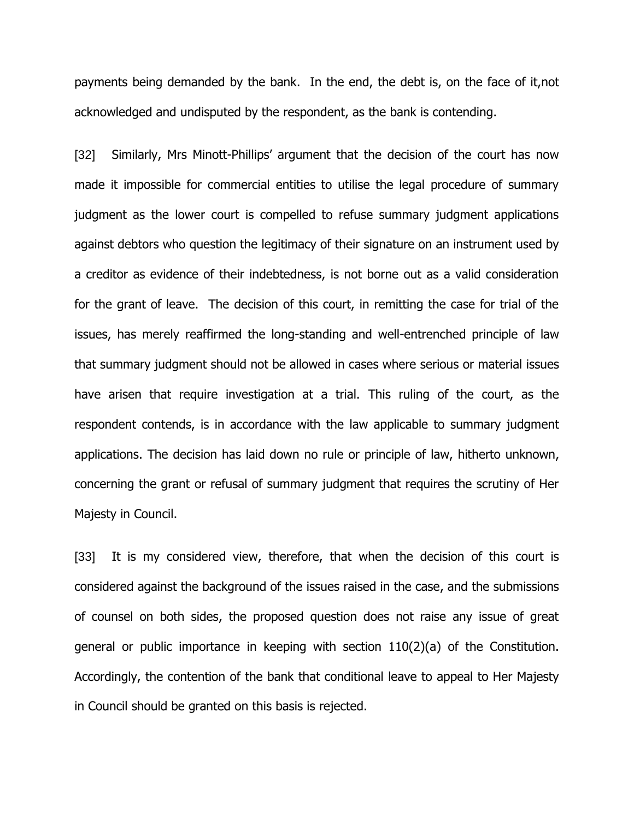payments being demanded by the bank. In the end, the debt is, on the face of it,not acknowledged and undisputed by the respondent, as the bank is contending.

[32] Similarly, Mrs Minott-Phillips' argument that the decision of the court has now made it impossible for commercial entities to utilise the legal procedure of summary judgment as the lower court is compelled to refuse summary judgment applications against debtors who question the legitimacy of their signature on an instrument used by a creditor as evidence of their indebtedness, is not borne out as a valid consideration for the grant of leave. The decision of this court, in remitting the case for trial of the issues, has merely reaffirmed the long-standing and well-entrenched principle of law that summary judgment should not be allowed in cases where serious or material issues have arisen that require investigation at a trial. This ruling of the court, as the respondent contends, is in accordance with the law applicable to summary judgment applications. The decision has laid down no rule or principle of law, hitherto unknown, concerning the grant or refusal of summary judgment that requires the scrutiny of Her Majesty in Council.

[33] It is my considered view, therefore, that when the decision of this court is considered against the background of the issues raised in the case, and the submissions of counsel on both sides, the proposed question does not raise any issue of great general or public importance in keeping with section 110(2)(a) of the Constitution. Accordingly, the contention of the bank that conditional leave to appeal to Her Majesty in Council should be granted on this basis is rejected.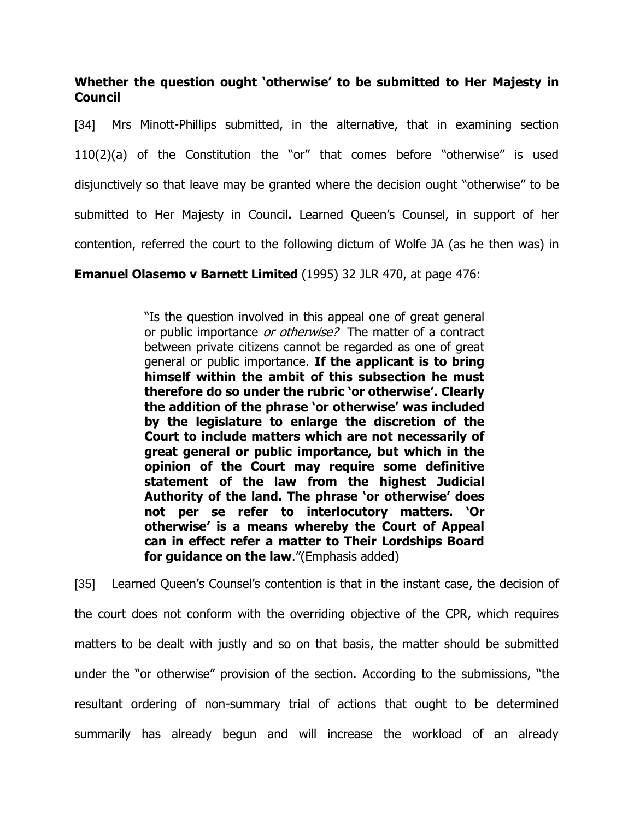# **Whether the question ought 'otherwise' to be submitted to Her Majesty in Council**

[34] Mrs Minott-Phillips submitted, in the alternative, that in examining section 110(2)(a) of the Constitution the "or" that comes before "otherwise" is used disjunctively so that leave may be granted where the decision ought "otherwise" to be submitted to Her Majesty in Council**.** Learned Queen"s Counsel, in support of her contention, referred the court to the following dictum of Wolfe JA (as he then was) in

**Emanuel Olasemo v Barnett Limited** (1995) 32 JLR 470, at page 476:

"Is the question involved in this appeal one of great general or public importance or otherwise? The matter of a contract between private citizens cannot be regarded as one of great general or public importance. **If the applicant is to bring himself within the ambit of this subsection he must therefore do so under the rubric 'or otherwise'. Clearly the addition of the phrase 'or otherwise' was included by the legislature to enlarge the discretion of the Court to include matters which are not necessarily of great general or public importance, but which in the opinion of the Court may require some definitive statement of the law from the highest Judicial Authority of the land. The phrase 'or otherwise' does not per se refer to interlocutory matters. 'Or otherwise' is a means whereby the Court of Appeal can in effect refer a matter to Their Lordships Board for guidance on the law.**"(Emphasis added)

[35] Learned Queen's Counsel's contention is that in the instant case, the decision of the court does not conform with the overriding objective of the CPR, which requires matters to be dealt with justly and so on that basis, the matter should be submitted under the "or otherwise" provision of the section. According to the submissions, "the resultant ordering of non-summary trial of actions that ought to be determined summarily has already begun and will increase the workload of an already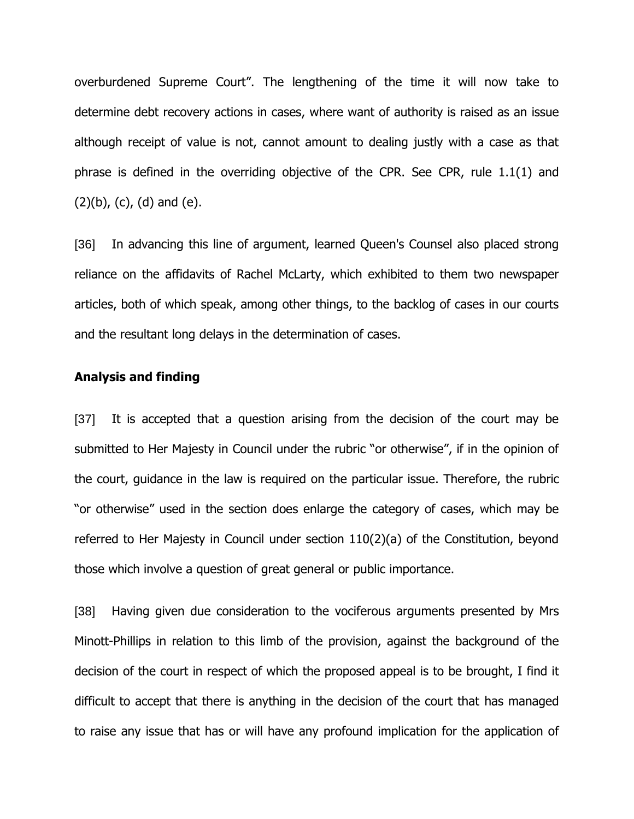overburdened Supreme Court". The lengthening of the time it will now take to determine debt recovery actions in cases, where want of authority is raised as an issue although receipt of value is not, cannot amount to dealing justly with a case as that phrase is defined in the overriding objective of the CPR. See CPR, rule 1.1(1) and  $(2)(b)$ ,  $(c)$ ,  $(d)$  and  $(e)$ .

[36] In advancing this line of argument, learned Queen's Counsel also placed strong reliance on the affidavits of Rachel McLarty, which exhibited to them two newspaper articles, both of which speak, among other things, to the backlog of cases in our courts and the resultant long delays in the determination of cases.

#### **Analysis and finding**

[37] It is accepted that a question arising from the decision of the court may be submitted to Her Majesty in Council under the rubric "or otherwise", if in the opinion of the court, guidance in the law is required on the particular issue. Therefore, the rubric "or otherwise" used in the section does enlarge the category of cases, which may be referred to Her Majesty in Council under section 110(2)(a) of the Constitution, beyond those which involve a question of great general or public importance.

[38] Having given due consideration to the vociferous arguments presented by Mrs Minott-Phillips in relation to this limb of the provision, against the background of the decision of the court in respect of which the proposed appeal is to be brought, I find it difficult to accept that there is anything in the decision of the court that has managed to raise any issue that has or will have any profound implication for the application of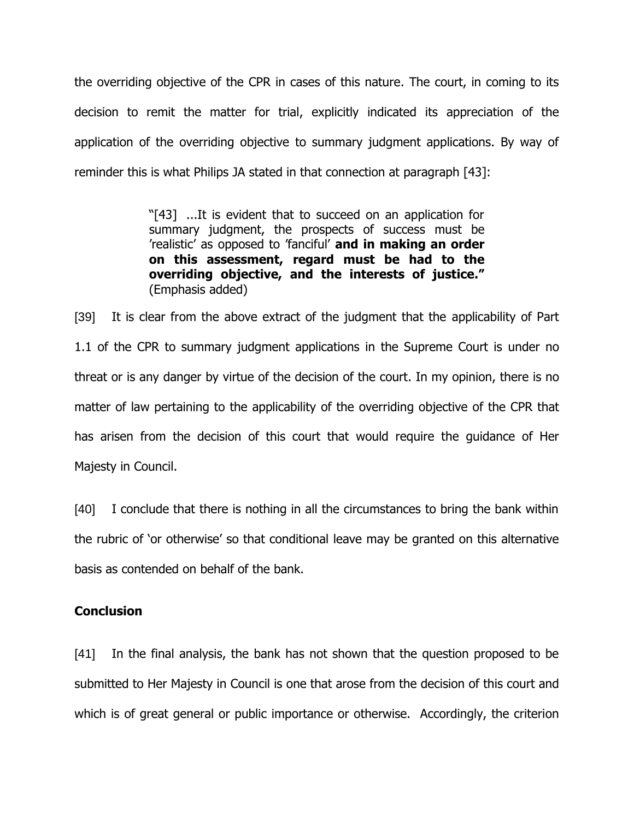the overriding objective of the CPR in cases of this nature. The court, in coming to its decision to remit the matter for trial, explicitly indicated its appreciation of the application of the overriding objective to summary judgment applications. By way of reminder this is what Philips JA stated in that connection at paragraph [43]:

> "[43] ...It is evident that to succeed on an application for summary judgment, the prospects of success must be "realistic" as opposed to "fanciful" **and in making an order on this assessment, regard must be had to the overriding objective, and the interests of justice."** (Emphasis added)

[39] It is clear from the above extract of the judgment that the applicability of Part 1.1 of the CPR to summary judgment applications in the Supreme Court is under no threat or is any danger by virtue of the decision of the court. In my opinion, there is no matter of law pertaining to the applicability of the overriding objective of the CPR that has arisen from the decision of this court that would require the guidance of Her Majesty in Council.

[40] I conclude that there is nothing in all the circumstances to bring the bank within the rubric of "or otherwise" so that conditional leave may be granted on this alternative basis as contended on behalf of the bank.

#### **Conclusion**

[41] In the final analysis, the bank has not shown that the question proposed to be submitted to Her Majesty in Council is one that arose from the decision of this court and which is of great general or public importance or otherwise. Accordingly, the criterion